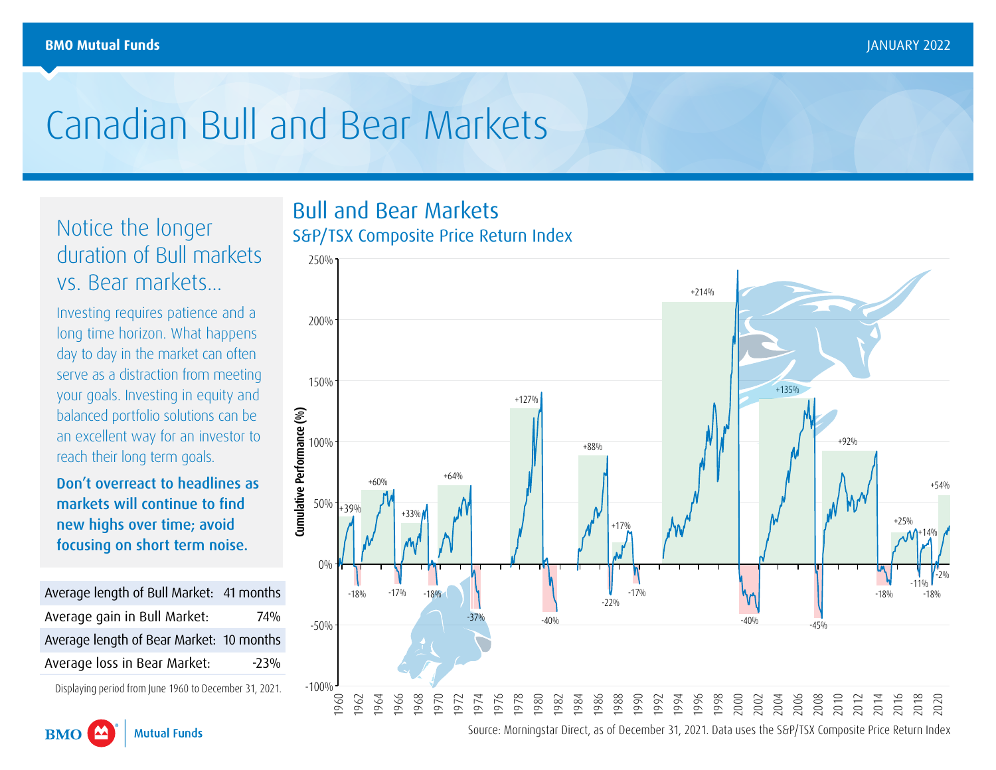## Canadian Bull and Bear Markets

Notice the longer duration of Bull markets vs. Bear markets...

Investing requires patience and a long time horizon. What happens day to day in the market can often serve as a distraction from meeting your goals. Investing in equity and balanced portfolio solutions can be an excellent way for an investor to reach their long term goals.

Don't overreact to headlines as markets will continue to find new highs over time; avoid focusing on short term noise.

Average length of Bull Market: 41 months Average gain in Bull Market: 74% Average length of Bear Market: 10 months Average loss in Bear Market: 23%

Displaying period from June 1960 to December 31, 2021.



## Bull and Bear Markets S&P/TSX Composite Price Return Index



Source: Morningstar Direct, as of December 31, 2021. Data uses the S&P/TSX Composite Price Return Index